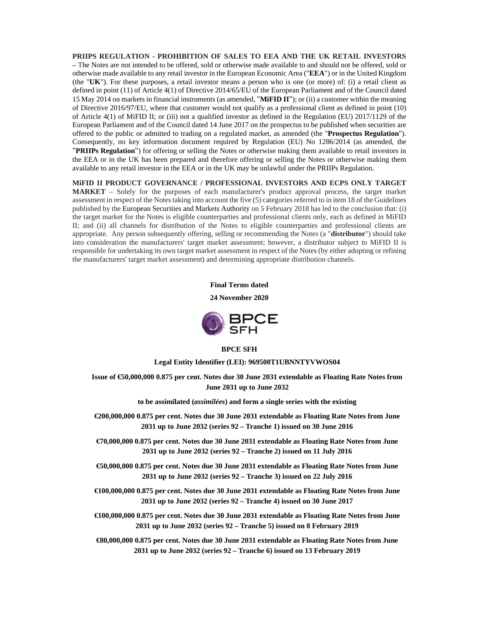**PRIIPS REGULATION - PROHIBITION OF SALES TO EEA AND THE UK RETAIL INVESTORS –** The Notes are not intended to be offered, sold or otherwise made available to and should not be offered, sold or otherwise made available to any retail investor in the European Economic Area ("**EEA**") or in the United Kingdom (the "**UK**"). For these purposes, a retail investor means a person who is one (or more) of: (i) a retail client as defined in point (11) of Article 4(1) of Directive 2014/65/EU of the European Parliament and of the Council dated 15 May 2014 on markets in financial instruments (as amended, "**MiFID II**"); or (ii) a customer within the meaning of Directive 2016/97/EU, where that customer would not qualify as a professional client as defined in point (10) of Article 4(1) of MiFID II; or (iii) not a qualified investor as defined in the Regulation (EU) 2017/1129 of the European Parliament and of the Council dated 14 June 2017 on the prospectus to be published when securities are offered to the public or admitted to trading on a regulated market, as amended (the "**Prospectus Regulation**"). Consequently, no key information document required by Regulation (EU) No 1286/2014 (as amended, the "**PRIIPs Regulation**") for offering or selling the Notes or otherwise making them available to retail investors in the EEA or in the UK has been prepared and therefore offering or selling the Notes or otherwise making them available to any retail investor in the EEA or in the UK may be unlawful under the PRIIPs Regulation.

**MiFID II PRODUCT GOVERNANCE / PROFESSIONAL INVESTORS AND ECPS ONLY TARGET MARKET** – Solely for the purposes of each manufacturer's product approval process, the target market assessment in respect of the Notes taking into account the five (5) categories referred to in item 18 of the Guidelines published by the European Securities and Markets Authority on 5 February 2018 has led to the conclusion that: (i) the target market for the Notes is eligible counterparties and professional clients only, each as defined in MiFID II; and (ii) all channels for distribution of the Notes to eligible counterparties and professional clients are appropriate. Any person subsequently offering, selling or recommending the Notes (a "**distributor**") should take into consideration the manufacturers' target market assessment; however, a distributor subject to MiFID II is responsible for undertaking its own target market assessment in respect of the Notes (by either adopting or refining the manufacturers' target market assessment) and determining appropriate distribution channels.



**24 November 2020** 



### **BPCE SFH**

**Legal Entity Identifier (LEI): 969500T1UBNNTYVWOS04** 

**Issue of €50,000,000 0.875 per cent. Notes due 30 June 2031 extendable as Floating Rate Notes from June 2031 up to June 2032** 

**to be assimilated (***assimilées***) and form a single series with the existing** 

- **€200,000,000 0.875 per cent. Notes due 30 June 2031 extendable as Floating Rate Notes from June 2031 up to June 2032 (series 92 – Tranche 1) issued on 30 June 2016**
- **€70,000,000 0.875 per cent. Notes due 30 June 2031 extendable as Floating Rate Notes from June 2031 up to June 2032 (series 92 – Tranche 2) issued on 11 July 2016**
- **€50,000,000 0.875 per cent. Notes due 30 June 2031 extendable as Floating Rate Notes from June 2031 up to June 2032 (series 92 – Tranche 3) issued on 22 July 2016**
- **€100,000,000 0.875 per cent. Notes due 30 June 2031 extendable as Floating Rate Notes from June 2031 up to June 2032 (series 92 – Tranche 4) issued on 30 June 2017**
- **€100,000,000 0.875 per cent. Notes due 30 June 2031 extendable as Floating Rate Notes from June 2031 up to June 2032 (series 92 – Tranche 5) issued on 8 February 2019**

**€80,000,000 0.875 per cent. Notes due 30 June 2031 extendable as Floating Rate Notes from June 2031 up to June 2032 (series 92 – Tranche 6) issued on 13 February 2019**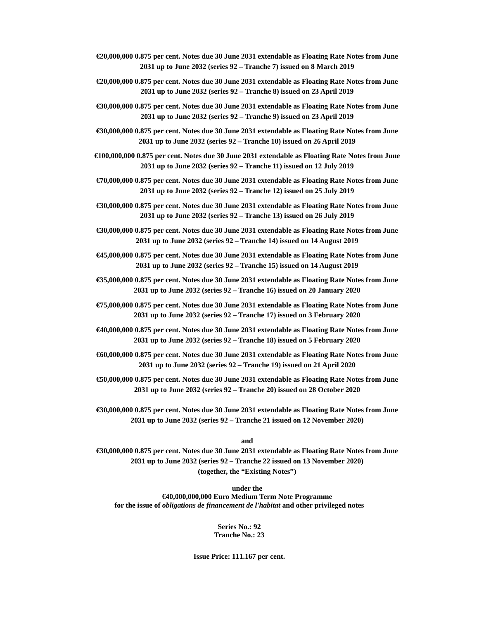- **€20,000,000 0.875 per cent. Notes due 30 June 2031 extendable as Floating Rate Notes from June 2031 up to June 2032 (series 92 – Tranche 7) issued on 8 March 2019**
- **€20,000,000 0.875 per cent. Notes due 30 June 2031 extendable as Floating Rate Notes from June 2031 up to June 2032 (series 92 – Tranche 8) issued on 23 April 2019**
- **€30,000,000 0.875 per cent. Notes due 30 June 2031 extendable as Floating Rate Notes from June 2031 up to June 2032 (series 92 – Tranche 9) issued on 23 April 2019**
- **€30,000,000 0.875 per cent. Notes due 30 June 2031 extendable as Floating Rate Notes from June 2031 up to June 2032 (series 92 – Tranche 10) issued on 26 April 2019**
- **€100,000,000 0.875 per cent. Notes due 30 June 2031 extendable as Floating Rate Notes from June 2031 up to June 2032 (series 92 – Tranche 11) issued on 12 July 2019**
- **€70,000,000 0.875 per cent. Notes due 30 June 2031 extendable as Floating Rate Notes from June 2031 up to June 2032 (series 92 – Tranche 12) issued on 25 July 2019**
- **€30,000,000 0.875 per cent. Notes due 30 June 2031 extendable as Floating Rate Notes from June 2031 up to June 2032 (series 92 – Tranche 13) issued on 26 July 2019**
- **€30,000,000 0.875 per cent. Notes due 30 June 2031 extendable as Floating Rate Notes from June 2031 up to June 2032 (series 92 – Tranche 14) issued on 14 August 2019**
- **€45,000,000 0.875 per cent. Notes due 30 June 2031 extendable as Floating Rate Notes from June 2031 up to June 2032 (series 92 – Tranche 15) issued on 14 August 2019**
- **€35,000,000 0.875 per cent. Notes due 30 June 2031 extendable as Floating Rate Notes from June 2031 up to June 2032 (series 92 – Tranche 16) issued on 20 January 2020**
- **€75,000,000 0.875 per cent. Notes due 30 June 2031 extendable as Floating Rate Notes from June 2031 up to June 2032 (series 92 – Tranche 17) issued on 3 February 2020**
- **€40,000,000 0.875 per cent. Notes due 30 June 2031 extendable as Floating Rate Notes from June 2031 up to June 2032 (series 92 – Tranche 18) issued on 5 February 2020**
- **€60,000,000 0.875 per cent. Notes due 30 June 2031 extendable as Floating Rate Notes from June 2031 up to June 2032 (series 92 – Tranche 19) issued on 21 April 2020**
- **€50,000,000 0.875 per cent. Notes due 30 June 2031 extendable as Floating Rate Notes from June 2031 up to June 2032 (series 92 – Tranche 20) issued on 28 October 2020**
- **€30,000,000 0.875 per cent. Notes due 30 June 2031 extendable as Floating Rate Notes from June 2031 up to June 2032 (series 92 – Tranche 21 issued on 12 November 2020)**

#### **and**

**€30,000,000 0.875 per cent. Notes due 30 June 2031 extendable as Floating Rate Notes from June 2031 up to June 2032 (series 92 – Tranche 22 issued on 13 November 2020) (together, the "Existing Notes")** 

**under the €40,000,000,000 Euro Medium Term Note Programme for the issue of** *obligations de financement de l'habitat* **and other privileged notes** 

> **Series No.: 92 Tranche No.: 23**

**Issue Price: 111.167 per cent.**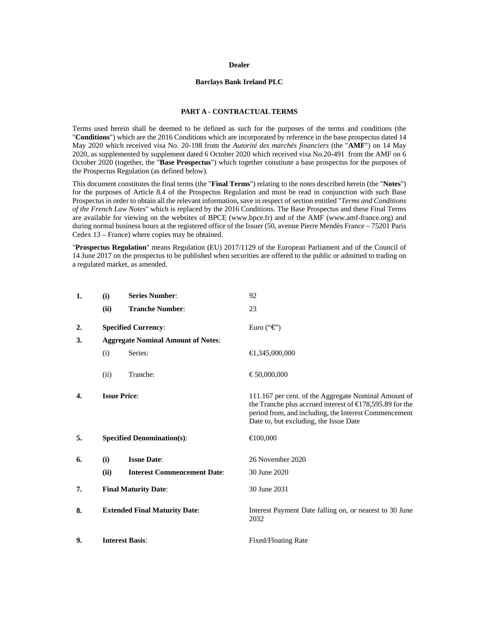### **Dealer**

### **Barclays Bank Ireland PLC**

## **PART A - CONTRACTUAL TERMS**

Terms used herein shall be deemed to be defined as such for the purposes of the terms and conditions (the "**Conditions**") which are the 2016 Conditions which are incorporated by reference in the base prospectus dated 14 May 2020 which received visa No. 20-198 from the *Autorité des marchés financiers* (the "**AMF**") on 14 May 2020, as supplemented by supplement dated 6 October 2020 which received visa No.20-491 from the AMF on 6 October 2020 (together, the "**Base Prospectus**") which together constitute a base prospectus for the purposes of the Prospectus Regulation (as defined below).

This document constitutes the final terms (the "**Final Terms**") relating to the notes described herein (the "**Notes**") for the purposes of Article 8.4 of the Prospectus Regulation and must be read in conjunction with such Base Prospectus in order to obtain all the relevant information, save in respect of section entitled "*Terms and Conditions of the French Law Notes*" which is replaced by the 2016 Conditions. The Base Prospectus and these Final Terms are available for viewing on the websites of BPCE (www.bpce.fr) and of the AMF (www.amf-france.org) and during normal business hours at the registered office of the Issuer (50, avenue Pierre Mendès France – 75201 Paris Cedex 13 – France) where copies may be obtained.

"**Prospectus Regulation**" means Regulation (EU) 2017/1129 of the European Parliament and of the Council of 14 June 2017 on the prospectus to be published when securities are offered to the public or admitted to trading on a regulated market, as amended.

| 1. | (i)                                       | <b>Series Number:</b>              | 92                                                                                                                                                                                                                      |  |
|----|-------------------------------------------|------------------------------------|-------------------------------------------------------------------------------------------------------------------------------------------------------------------------------------------------------------------------|--|
|    | (ii)                                      | <b>Tranche Number:</b>             | 23                                                                                                                                                                                                                      |  |
| 2. | <b>Specified Currency:</b>                |                                    | Euro (" $\epsilon$ ")                                                                                                                                                                                                   |  |
| 3. | <b>Aggregate Nominal Amount of Notes:</b> |                                    |                                                                                                                                                                                                                         |  |
|    | (i)                                       | Series:                            | $\bigoplus$ , 345, 000, 000                                                                                                                                                                                             |  |
|    | (ii)                                      | Tranche:                           | €50,000,000                                                                                                                                                                                                             |  |
| 4. |                                           | <b>Issue Price:</b>                | 111.167 per cent. of the Aggregate Nominal Amount of<br>the Tranche plus accrued interest of $\in$ 78,595.89 for the<br>period from, and including, the Interest Commencement<br>Date to, but excluding, the Issue Date |  |
| 5. | <b>Specified Denomination(s):</b>         |                                    | €100,000                                                                                                                                                                                                                |  |
| 6. | (i)                                       | <b>Issue Date:</b>                 | 26 November 2020                                                                                                                                                                                                        |  |
|    | (ii)                                      | <b>Interest Commencement Date:</b> | 30 June 2020                                                                                                                                                                                                            |  |
| 7. | <b>Final Maturity Date:</b>               |                                    | 30 June 2031                                                                                                                                                                                                            |  |
| 8. | <b>Extended Final Maturity Date:</b>      |                                    | Interest Payment Date falling on, or nearest to 30 June<br>2032                                                                                                                                                         |  |
| 9. |                                           | <b>Interest Basis:</b>             | Fixed/Floating Rate                                                                                                                                                                                                     |  |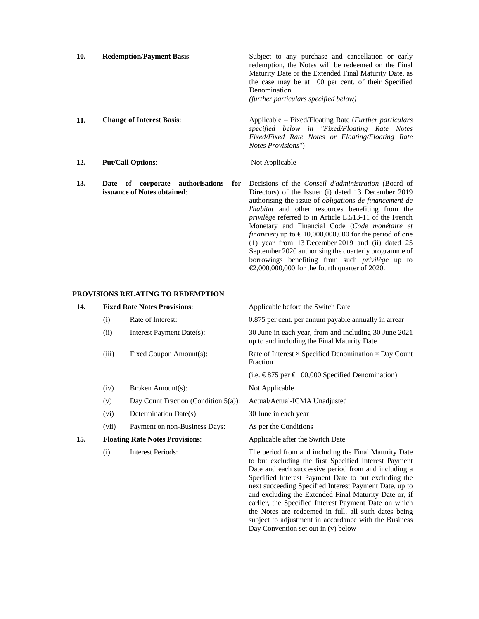| 10. | <b>Redemption/Payment Basis:</b> | Subject to any purchase and cancellation or early<br>redemption, the Notes will be redeemed on the Final<br>Maturity Date or the Extended Final Maturity Date, as<br>the case may be at 100 per cent. of their Specified<br>Denomination<br>(further particulars specified below) |
|-----|----------------------------------|-----------------------------------------------------------------------------------------------------------------------------------------------------------------------------------------------------------------------------------------------------------------------------------|
| 11. | <b>Change of Interest Basis:</b> | Applicable – Fixed/Floating Rate ( <i>Further particulars</i><br>specified below in "Fixed/Floating Rate Notes<br>Fixed/Fixed Rate Notes or Floating/Floating Rate<br><i>Notes Provisions</i> ")                                                                                  |
| 12. | <b>Put/Call Options:</b>         | Not Applicable                                                                                                                                                                                                                                                                    |

**13. Date of corporate authorisations for issuance of Notes obtained**: Decisions of the *Conseil d'administration* (Board of Directors) of the Issuer (i) dated 13 December 2019 authorising the issue of *obligations de financement de l'habitat* and other resources benefiting from the *privilège* referred to in Article L.513-11 of the French Monetary and Financial Code (*Code monétaire et financier*) up to  $\epsilon$ 10,000,000,000 for the period of one  $(1)$  year from 13 December 2019 and  $(ii)$  dated 25 September 2020 authorising the quarterly programme of borrowings benefiting from such *privilège* up to

€2,000,000,000 for the fourth quarter of 2020.

the Notes are redeemed in full, all such dates being subject to adjustment in accordance with the Business

Day Convention set out in (v) below

## **PROVISIONS RELATING TO REDEMPTION**

| 14. | <b>Fixed Rate Notes Provisions:</b>    |                                         | Applicable before the Switch Date                                                                                                                                                                                                                                                                                                                                                                          |  |
|-----|----------------------------------------|-----------------------------------------|------------------------------------------------------------------------------------------------------------------------------------------------------------------------------------------------------------------------------------------------------------------------------------------------------------------------------------------------------------------------------------------------------------|--|
|     | (i)                                    | Rate of Interest:                       | 0.875 per cent. per annum payable annually in arrear                                                                                                                                                                                                                                                                                                                                                       |  |
|     | (ii)                                   | Interest Payment Date(s):               | 30 June in each year, from and including 30 June 2021<br>up to and including the Final Maturity Date                                                                                                                                                                                                                                                                                                       |  |
|     | (iii)                                  | Fixed Coupon Amount(s):                 | Rate of Interest $\times$ Specified Denomination $\times$ Day Count<br>Fraction                                                                                                                                                                                                                                                                                                                            |  |
|     |                                        |                                         | (i.e. €875 per €100,000 Specified Denomination)                                                                                                                                                                                                                                                                                                                                                            |  |
|     | (iv)                                   | Broken Amount(s):                       | Not Applicable                                                                                                                                                                                                                                                                                                                                                                                             |  |
|     | (v)                                    | Day Count Fraction (Condition $5(a)$ ): | Actual/Actual-ICMA Unadjusted                                                                                                                                                                                                                                                                                                                                                                              |  |
|     | (vi)                                   | Determination Date(s):                  | 30 June in each year                                                                                                                                                                                                                                                                                                                                                                                       |  |
|     | (vii)                                  | Payment on non-Business Days:           | As per the Conditions                                                                                                                                                                                                                                                                                                                                                                                      |  |
| 15. | <b>Floating Rate Notes Provisions:</b> |                                         | Applicable after the Switch Date                                                                                                                                                                                                                                                                                                                                                                           |  |
|     | (i)                                    | <b>Interest Periods:</b>                | The period from and including the Final Maturity Date<br>to but excluding the first Specified Interest Payment<br>Date and each successive period from and including a<br>Specified Interest Payment Date to but excluding the<br>next succeeding Specified Interest Payment Date, up to<br>and excluding the Extended Final Maturity Date or, if<br>earlier, the Specified Interest Payment Date on which |  |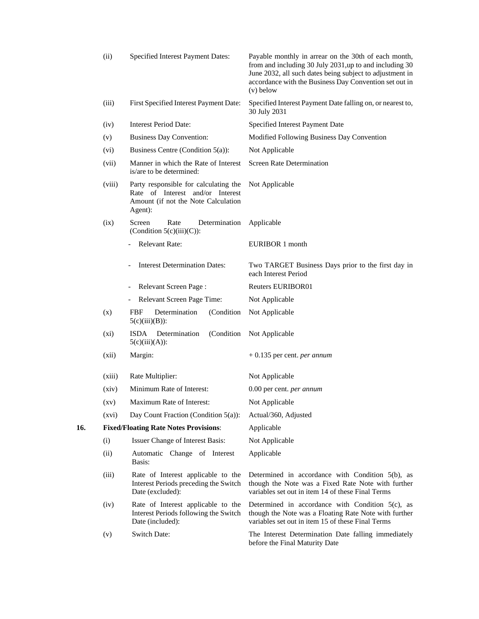|     | (ii)   | <b>Specified Interest Payment Dates:</b>                                                                                    | Payable monthly in arrear on the 30th of each month,<br>from and including 30 July 2031, up to and including 30<br>June 2032, all such dates being subject to adjustment in<br>accordance with the Business Day Convention set out in<br>$(v)$ below |
|-----|--------|-----------------------------------------------------------------------------------------------------------------------------|------------------------------------------------------------------------------------------------------------------------------------------------------------------------------------------------------------------------------------------------------|
|     | (iii)  | First Specified Interest Payment Date:                                                                                      | Specified Interest Payment Date falling on, or nearest to,<br>30 July 2031                                                                                                                                                                           |
|     | (iv)   | <b>Interest Period Date:</b>                                                                                                | Specified Interest Payment Date                                                                                                                                                                                                                      |
|     | (v)    | <b>Business Day Convention:</b>                                                                                             | Modified Following Business Day Convention                                                                                                                                                                                                           |
|     | (vi)   | Business Centre (Condition 5(a)):                                                                                           | Not Applicable                                                                                                                                                                                                                                       |
|     | (vii)  | Manner in which the Rate of Interest<br>is/are to be determined:                                                            | <b>Screen Rate Determination</b>                                                                                                                                                                                                                     |
|     | (viii) | Party responsible for calculating the<br>Rate of Interest and/or Interest<br>Amount (if not the Note Calculation<br>Agent): | Not Applicable                                                                                                                                                                                                                                       |
|     | (ix)   | Rate<br>Determination<br>Screen<br>(Condition $5(c)(iii)(C)$ ):                                                             | Applicable                                                                                                                                                                                                                                           |
|     |        | <b>Relevant Rate:</b>                                                                                                       | EURIBOR 1 month                                                                                                                                                                                                                                      |
|     |        | <b>Interest Determination Dates:</b>                                                                                        | Two TARGET Business Days prior to the first day in<br>each Interest Period                                                                                                                                                                           |
|     |        | Relevant Screen Page:<br>$\qquad \qquad \blacksquare$                                                                       | <b>Reuters EURIBOR01</b>                                                                                                                                                                                                                             |
|     |        | Relevant Screen Page Time:<br>$\overline{\phantom{a}}$                                                                      | Not Applicable                                                                                                                                                                                                                                       |
|     | (x)    | <b>FBF</b><br>Determination<br>(Condition)<br>$5(c)(iii)(B))$ :                                                             | Not Applicable                                                                                                                                                                                                                                       |
|     | (xi)   | (Condition<br>Determination<br><b>ISDA</b><br>$5(c)(iii)(A))$ :                                                             | Not Applicable                                                                                                                                                                                                                                       |
|     | (xii)  | Margin:                                                                                                                     | $+0.135$ per cent. <i>per annum</i>                                                                                                                                                                                                                  |
|     | (xiii) | Rate Multiplier:                                                                                                            | Not Applicable                                                                                                                                                                                                                                       |
|     | (xiv)  | Minimum Rate of Interest:                                                                                                   | 0.00 per cent. per annum                                                                                                                                                                                                                             |
|     | (xv)   | Maximum Rate of Interest:                                                                                                   | Not Applicable                                                                                                                                                                                                                                       |
|     | (xvi)  | Day Count Fraction (Condition $5(a)$ ):                                                                                     | Actual/360, Adjusted                                                                                                                                                                                                                                 |
| 16. |        | <b>Fixed/Floating Rate Notes Provisions:</b>                                                                                | Applicable                                                                                                                                                                                                                                           |
|     | (i)    | Issuer Change of Interest Basis:                                                                                            | Not Applicable                                                                                                                                                                                                                                       |
|     | (ii)   | Automatic Change of Interest<br>Basis:                                                                                      | Applicable                                                                                                                                                                                                                                           |
|     | (iii)  | Rate of Interest applicable to the<br>Interest Periods preceding the Switch<br>Date (excluded):                             | Determined in accordance with Condition 5(b), as<br>though the Note was a Fixed Rate Note with further<br>variables set out in item 14 of these Final Terms                                                                                          |
|     | (iv)   | Rate of Interest applicable to the<br>Interest Periods following the Switch<br>Date (included):                             | Determined in accordance with Condition 5(c), as<br>though the Note was a Floating Rate Note with further<br>variables set out in item 15 of these Final Terms                                                                                       |
|     | (v)    | <b>Switch Date:</b>                                                                                                         | The Interest Determination Date falling immediately<br>before the Final Maturity Date                                                                                                                                                                |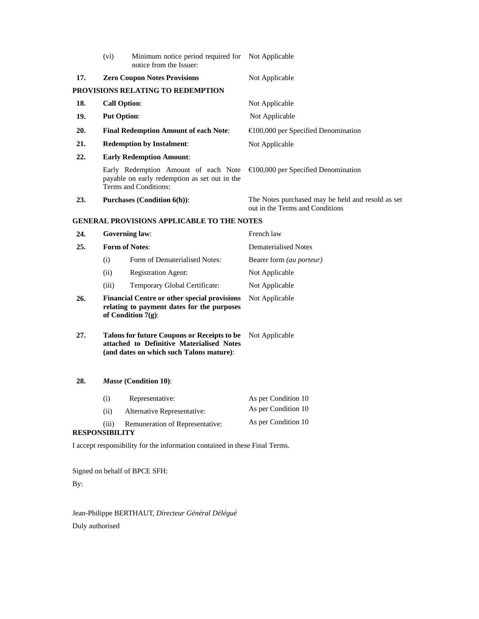|                       | (vi)                                                                                                                                         | Minimum notice period required for Not Applicable<br>notice from the Issuer:                                   |                                                                                      |
|-----------------------|----------------------------------------------------------------------------------------------------------------------------------------------|----------------------------------------------------------------------------------------------------------------|--------------------------------------------------------------------------------------|
| 17.                   | <b>Zero Coupon Notes Provisions</b>                                                                                                          |                                                                                                                | Not Applicable                                                                       |
|                       |                                                                                                                                              | PROVISIONS RELATING TO REDEMPTION                                                                              |                                                                                      |
| 18.                   |                                                                                                                                              | <b>Call Option:</b>                                                                                            | Not Applicable                                                                       |
| 19.                   |                                                                                                                                              | <b>Put Option:</b>                                                                                             | Not Applicable                                                                       |
| 20.                   |                                                                                                                                              | <b>Final Redemption Amount of each Note:</b>                                                                   | $\bigoplus$ 00,000 per Specified Denomination                                        |
| 21.                   |                                                                                                                                              | <b>Redemption by Instalment:</b>                                                                               | Not Applicable                                                                       |
| 22.                   |                                                                                                                                              | <b>Early Redemption Amount:</b>                                                                                |                                                                                      |
|                       |                                                                                                                                              | Early Redemption Amount of each Note<br>payable on early redemption as set out in the<br>Terms and Conditions: | $\bigoplus$ 00,000 per Specified Denomination                                        |
| 23.                   |                                                                                                                                              | <b>Purchases (Condition 6(h)):</b>                                                                             | The Notes purchased may be held and resold as set<br>out in the Terms and Conditions |
|                       |                                                                                                                                              | <b>GENERAL PROVISIONS APPLICABLE TO THE NOTES</b>                                                              |                                                                                      |
| 24.                   |                                                                                                                                              | <b>Governing law:</b>                                                                                          | French law                                                                           |
| 25.                   |                                                                                                                                              | <b>Form of Notes:</b>                                                                                          | <b>Dematerialised Notes</b>                                                          |
|                       | (i)                                                                                                                                          | Form of Dematerialised Notes:                                                                                  | Bearer form (au porteur)                                                             |
|                       | (ii)                                                                                                                                         | <b>Registration Agent:</b>                                                                                     | Not Applicable                                                                       |
|                       | (iii)                                                                                                                                        | Temporary Global Certificate:                                                                                  | Not Applicable                                                                       |
| 26.                   | <b>Financial Centre or other special provisions</b><br>Not Applicable<br>relating to payment dates for the purposes<br>of Condition $7(g)$ : |                                                                                                                |                                                                                      |
| 27.                   | <b>Talons for future Coupons or Receipts to be</b><br>attached to Definitive Materialised Notes<br>(and dates on which such Talons mature):  |                                                                                                                | Not Applicable                                                                       |
| 28.                   |                                                                                                                                              | Masse (Condition 10):                                                                                          |                                                                                      |
|                       | (i)                                                                                                                                          | Representative:                                                                                                | As per Condition 10                                                                  |
|                       | (ii)                                                                                                                                         | Alternative Representative:                                                                                    | As per Condition 10                                                                  |
| <b>RESPONSIBILITY</b> | (iii)                                                                                                                                        | Remuneration of Representative:                                                                                | As per Condition 10                                                                  |
|                       |                                                                                                                                              | I accept responsibility for the information contained in these Final Terms.                                    |                                                                                      |

Signed on behalf of BPCE SFH:

By:

Jean-Philippe BERTHAUT, *Directeur Général Délégué* Duly authorised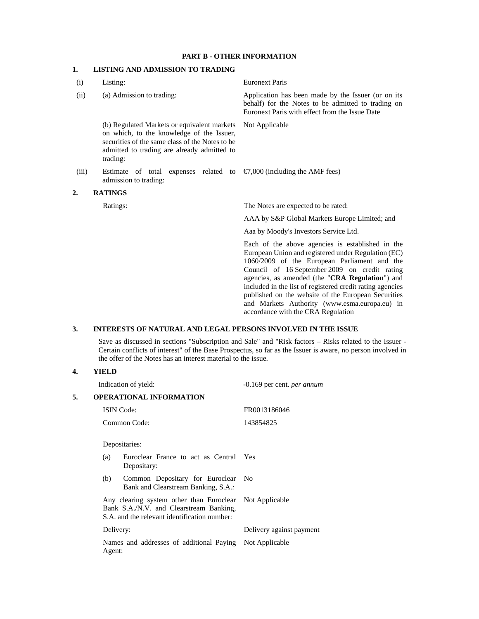# **PART B - OTHER INFORMATION**

# **1. LISTING AND ADMISSION TO TRADING**

| (i)   | Listing:                                                                                                                                                                                               | <b>Euronext Paris</b>                                                                                                                                                                                                                                                                                                                                                                                                                                                  |
|-------|--------------------------------------------------------------------------------------------------------------------------------------------------------------------------------------------------------|------------------------------------------------------------------------------------------------------------------------------------------------------------------------------------------------------------------------------------------------------------------------------------------------------------------------------------------------------------------------------------------------------------------------------------------------------------------------|
| (ii)  | (a) Admission to trading:                                                                                                                                                                              | Application has been made by the Issuer (or on its<br>behalf) for the Notes to be admitted to trading on<br>Euronext Paris with effect from the Issue Date                                                                                                                                                                                                                                                                                                             |
|       | (b) Regulated Markets or equivalent markets<br>on which, to the knowledge of the Issuer,<br>securities of the same class of the Notes to be<br>admitted to trading are already admitted to<br>trading: | Not Applicable                                                                                                                                                                                                                                                                                                                                                                                                                                                         |
| (iii) | Estimate of total expenses related to<br>admission to trading:                                                                                                                                         | $\epsilon$ ,000 (including the AMF fees)                                                                                                                                                                                                                                                                                                                                                                                                                               |
| 2.    | <b>RATINGS</b>                                                                                                                                                                                         |                                                                                                                                                                                                                                                                                                                                                                                                                                                                        |
|       | Ratings:                                                                                                                                                                                               | The Notes are expected to be rated:                                                                                                                                                                                                                                                                                                                                                                                                                                    |
|       |                                                                                                                                                                                                        | AAA by S&P Global Markets Europe Limited; and                                                                                                                                                                                                                                                                                                                                                                                                                          |
|       |                                                                                                                                                                                                        | Aaa by Moody's Investors Service Ltd.                                                                                                                                                                                                                                                                                                                                                                                                                                  |
|       |                                                                                                                                                                                                        | Each of the above agencies is established in the<br>European Union and registered under Regulation (EC)<br>1060/2009 of the European Parliament and the<br>Council of 16 September 2009 on credit rating<br>agencies, as amended (the "CRA Regulation") and<br>included in the list of registered credit rating agencies<br>published on the website of the European Securities<br>and Markets Authority (www.esma.europa.eu) in<br>accordance with the CRA Regulation |

## **3. INTERESTS OF NATURAL AND LEGAL PERSONS INVOLVED IN THE ISSUE**

Save as discussed in sections "Subscription and Sale" and "Risk factors – Risks related to the Issuer - Certain conflicts of interest" of the Base Prospectus, so far as the Issuer is aware, no person involved in the offer of the Notes has an interest material to the issue.

### **4. YIELD**

|    | Indication of yield:                                                                                                                               | $-0.169$ per cent. <i>per annum</i> |
|----|----------------------------------------------------------------------------------------------------------------------------------------------------|-------------------------------------|
| 5. | <b>OPERATIONAL INFORMATION</b>                                                                                                                     |                                     |
|    | <b>ISIN</b> Code:                                                                                                                                  | FR0013186046                        |
|    | Common Code:                                                                                                                                       | 143854825                           |
|    | Depositaries:                                                                                                                                      |                                     |
|    | Euroclear France to act as Central Yes<br>(a)<br>Depositary:                                                                                       |                                     |
|    | Common Depositary for Euroclear<br>(b)<br>Bank and Clearstream Banking, S.A.:                                                                      | - No                                |
|    | Any clearing system other than Euroclear Not Applicable<br>Bank S.A./N.V. and Clearstream Banking,<br>S.A. and the relevant identification number: |                                     |
|    | Delivery:                                                                                                                                          | Delivery against payment            |
|    | Names and addresses of additional Paying Not Applicable<br>Agent:                                                                                  |                                     |
|    |                                                                                                                                                    |                                     |